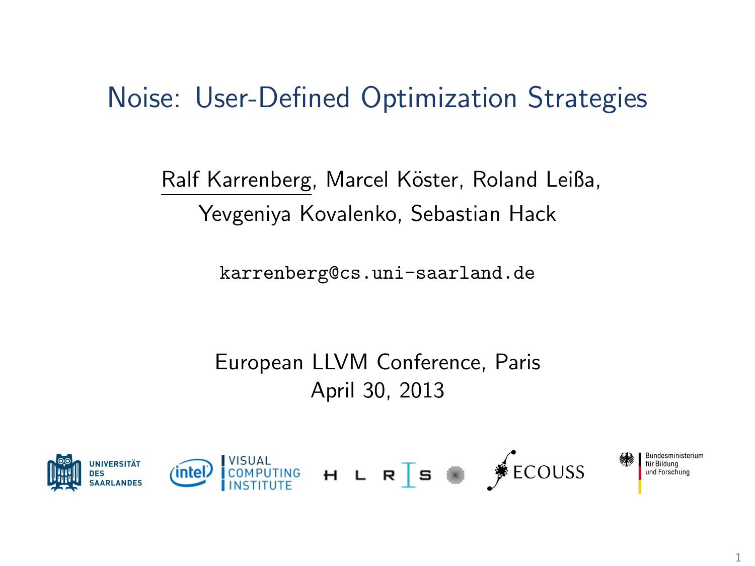#### Noise: User-Defined Optimization Strategies

Ralf Karrenberg, Marcel Köster, Roland Leißa, Yevgeniya Kovalenko, Sebastian Hack

karrenberg@cs.uni-saarland.de

European LLVM Conference, Paris April 30, 2013

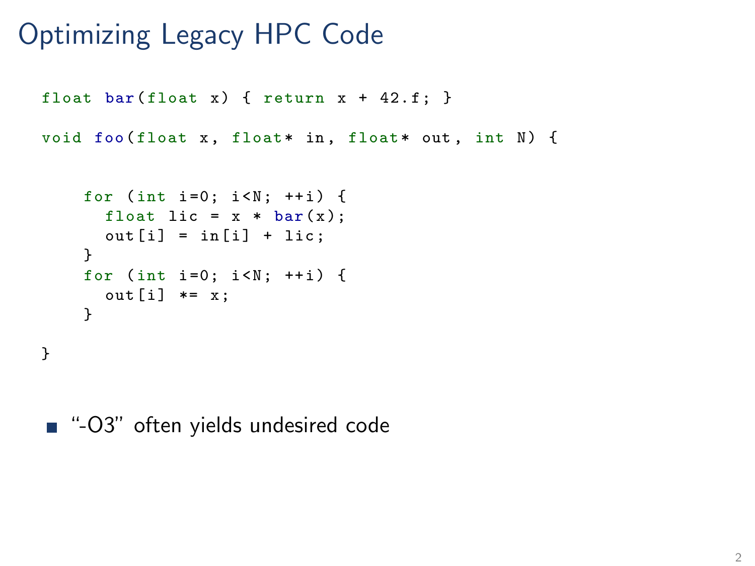```
float bar (float x) { return x + 42.f; }
void foo (float x, float* in, float* out, int N) {
```

```
for (int i=0; i < N; ++i) {
 float lic = x * bar(x):
  out[i] = in[i] + lic;}
for (int i=0; i < N; ++i) {
  out[i] * = x:
}
```
}

■ "-O3" often yields undesired code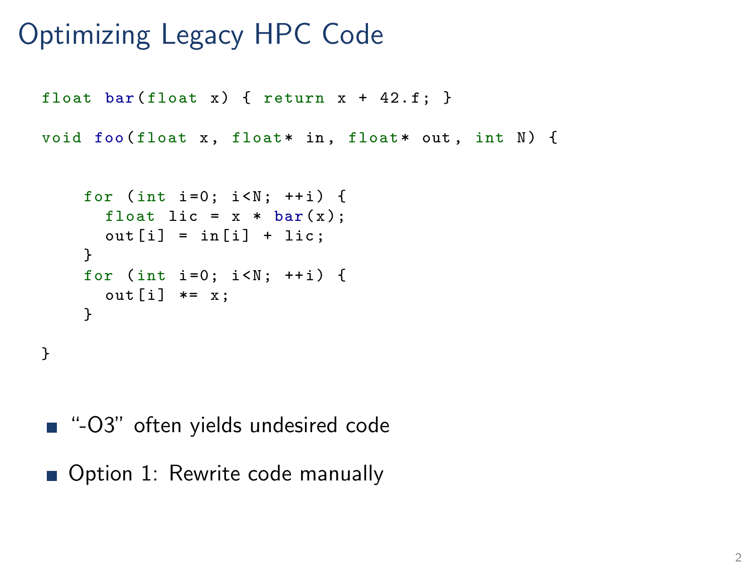```
float bar (float x) { return x + 42.f; }
void foo (float x, float* in, float* out, int N) {
```

```
for (int i=0; i < N; ++i) {
 float lic = x * bar(x):
  out[i] = in[i] + lic;}
for (int i=0; i < N; ++i) {
  out[i] * = x:
}
```
}

■ "-O3" often yields undesired code

Option 1: Rewrite code manually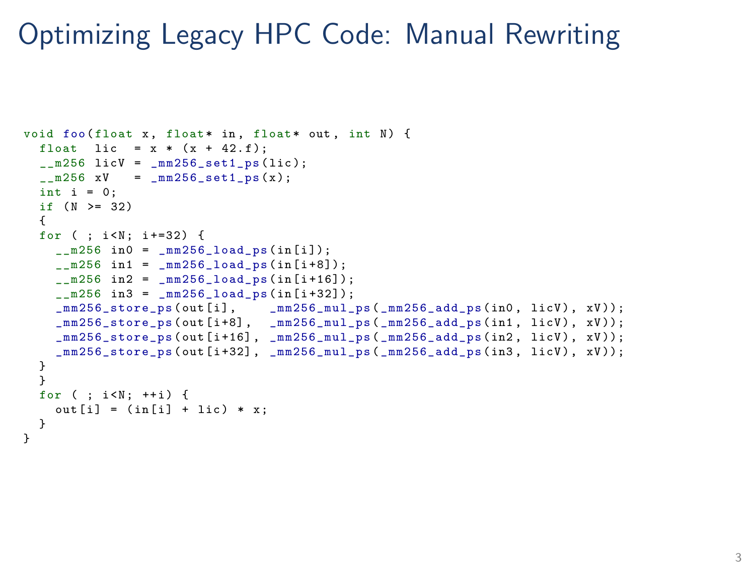#### Optimizing Legacy HPC Code: Manual Rewriting

```
void foo (float x, float* in, float* out. int N) {
  float lic = x * (x + 42.f);_{-}m256 licV = _{mm256\_set1\_ps} (lic);
  _{-}m256 xV = _{mm256\_set1} ps (x):
  int i = 0;
  if (N \ge 32){
  for (; i < N; i +=32) {
    _{-}m256 in0 = _{mm256 \text{ -} \log (in[i]);
    _{2}_{m}256 in1 = _{mm}256_{1}load_{ps} (in [i+8]);
    _{2} m256 in2 = _{2} mm256 load ps (in [i+16]);
    _{2} m256 in3 = _{2} mm256 load ps (in [i+32]);
    mm256 store ps ( out [i], mm256 mul ps ( mm256 add ps ( in0 , licV ), xV ));
    mm256 store ps ( out [i + 8] , mm256 mul ps (mm256 add ps ( in1 , licV ), xV ));
    \texttt{mm256\_store}\text{-ps} ( out [i+16] , \texttt{mm256\_mul}\text{-ps} (\texttt{mm256\_add}\text{-ps} ( \texttt{in2} , licV ), \texttt{xV} ));
     mm256 store ps ( out [i + 32] , mm256 mul ps ( mm256 add ps ( in3 , licV ), xV ));
  }
  }
  for ( ; i < N; ++i) {
    out[i] = (in[i] + lic) * x;}
}
```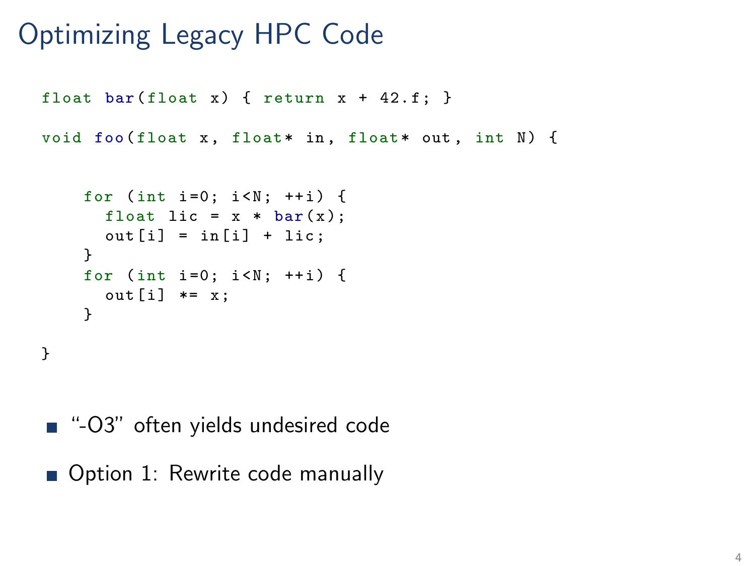```
float bar (float x) { return x + 42.f; }
void foo (float x, float* in, float* out, int N) {
```

```
for (int i=0; i < N; ++i) {
 float lic = x * bar(x):
  out[i] = in[i] + lic;}
for (int i=0; i < N; ++i) {
  out[i] * = x:
}
```
}

■ "-O3" often yields undesired code

Option 1: Rewrite code manually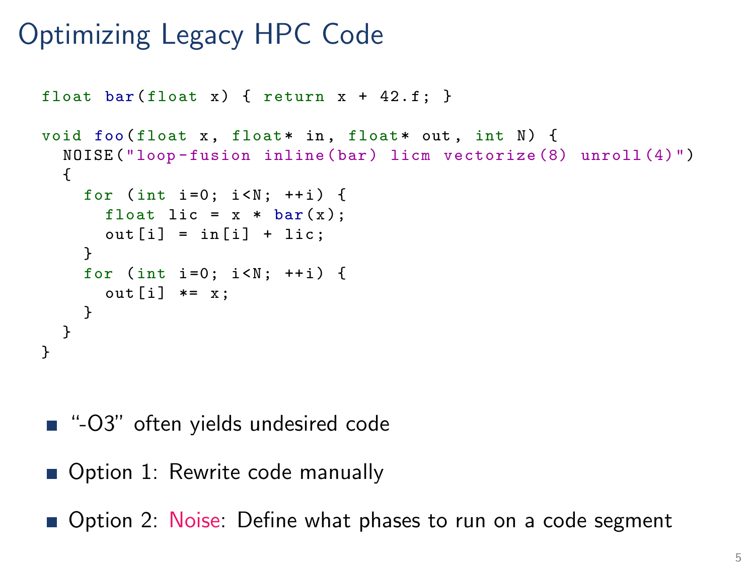```
float bar (float x) { return x + 42.f; }
void foo (float x, float* in, float* out, int N) {
  NOISE ("loop-fusion inline (bar) licm vectorize (8) unroll (4)")
  {
    for (int i=0; i < N; ++i) {
      float lic = x * bar(x);
      out[i] = in[i] + lic;}
    for (int i=0; i < N; ++i) {
      out[i] * = x;
   }
  }
}
```
- "-O3" often yields undesired code
- Option 1: Rewrite code manually

Option 2: Noise: Define what phases to run on a code segment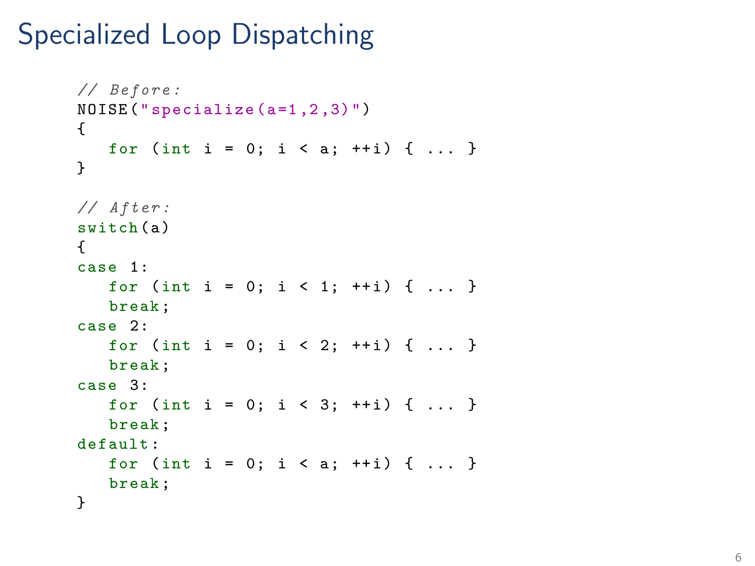# Specialized Loop Dispatching

```
// Before :
NOISE (" specialize (a=1 ,2 ,3)")
{
   for (int i = 0; i < a; ++i) { ... }
}
// After :
switch (a)
{
case 1:
   for (int i = 0; i \le 1; ++i) { ... }
   break ;
case 2:
   for (int i = 0; i \le 2; ++i) { ... }
   break ;
case 3:
   for (int i = 0; i < 3; ++i) { ... }
   break ;
default:
   for (int i = 0; i < a; ++i) { ... }
   break ;
}
```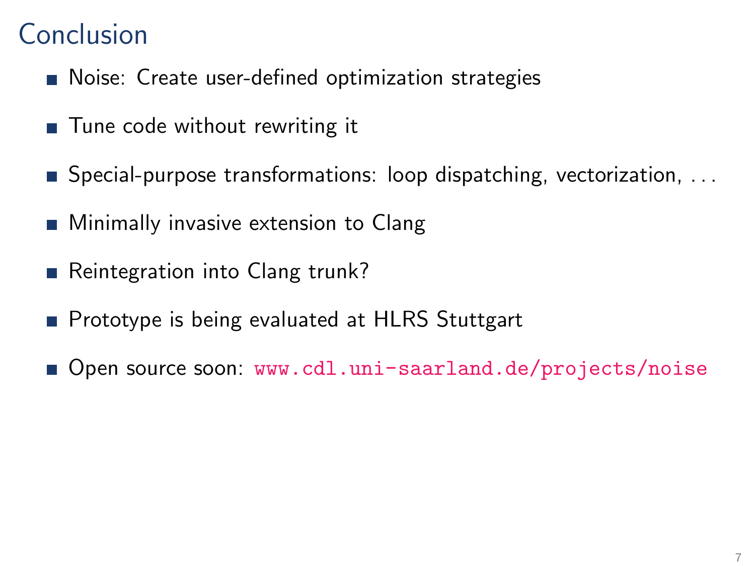# Conclusion

- **Noise: Create user-defined optimization strategies**
- Tune code without rewriting it
- Special-purpose transformations: loop dispatching, vectorization, ...
- **Minimally invasive extension to Clang**
- Reintegration into Clang trunk?
- **Prototype is being evaluated at HLRS Stuttgart**
- Open source soon: <www.cdl.uni-saarland.de/projects/noise>